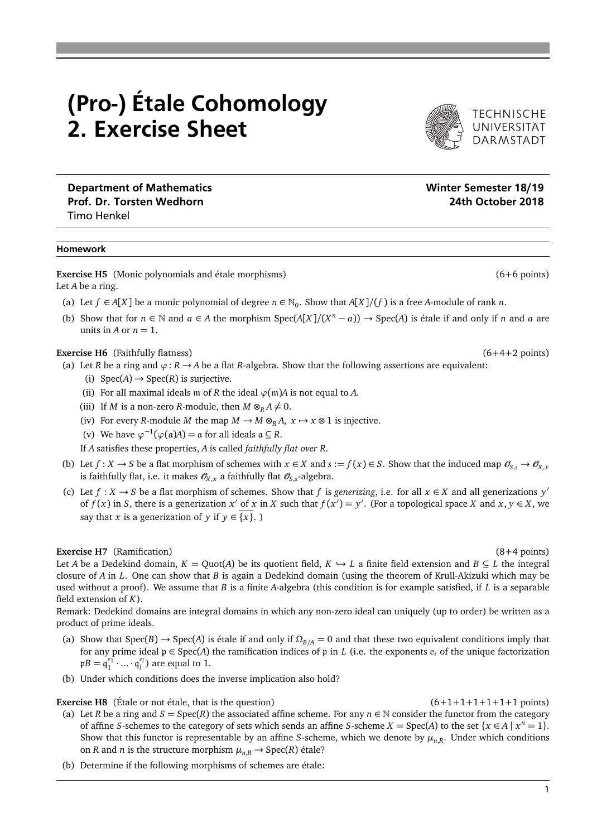# (Pro-) Étale Cohomology 2. Exercise Sheet

Department of Mathematics Number of Mathematics Number of Mathematics Number of Semester 18/19 Prof. Dr. Torsten Wedhorn 24th October 2018 Timo Henkel

#### Homework

**Exercise H5** (Monic polynomials and étale morphisms) (6+6 points) (6+6 points) Let *A* be a ring.

- (a) Let  $f \in A[X]$  be a monic polynomial of degree  $n \in \mathbb{N}_0$ . Show that  $A[X]/(f)$  is a free *A*-module of rank *n*.
- (b) Show that for  $n \in \mathbb{N}$  and  $a \in A$  the morphism Spec(*A*[*X*]/(*X<sup>n</sup>* − *a*)) → Spec(*A*) is étale if and only if *n* and *a* are units in *A* or  $n = 1$ .

## **Exercise H6** (Faithfully flatness) (6+4+2 points)

- (a) Let *R* be a ring and  $\varphi$ : *R*  $\rightarrow$  *A* be a flat *R*-algebra. Show that the following assertions are equivalent:
	- (i)  $Spec(A) \rightarrow Spec(R)$  is surjective.
	- (ii) For all maximal ideals m of *R* the ideal  $\varphi$ (m)*A* is not equal to *A*.
	- (iii) If *M* is a non-zero *R*-module, then  $M \otimes_R A \neq 0$ .
	- (iv) For every *R*-module *M* the map  $M \to M \otimes_R A$ ,  $x \to x \otimes 1$  is injective.
	- (v) We have  $\varphi^{-1}(\varphi(\mathfrak{a})A) = \mathfrak{a}$  for all ideals  $\mathfrak{a} \subseteq R$ .
	- If *A* satisfies these properties, *A* is called *faithfully flat over R*.
- (b) Let  $f: X \to S$  be a flat morphism of schemes with  $x \in X$  and  $s := f(x) \in S$ . Show that the induced map  $\mathcal{O}_{S, S} \to \mathcal{O}_{X, X}$ is faithfully flat, i.e. it makes  $\mathscr{O}_{X,x}$  a faithfully flat  $\mathscr{O}_{S,s}$ -algebra.
- (c) Let *f* : *X* → *S* be a flat morphism of schemes. Show that *f* is *generizing*, i.e. for all *x* ∈ *X* and all generizations *y*<sup>'</sup> of  $f(x)$  in *S*, there is a generization  $x'$  of  $x$  in  $X$  such that  $f(x') = y'$ . (For a topological space  $X$  and  $x, y \in X$ , we say that *x* is a generization of *y* if  $y \in \{x\}$ .

### **Exercise H7** (Ramification) (8+4 points)

Let *A* be a Dedekind domain,  $K = \text{Quot}(A)$  be its quotient field,  $K \hookrightarrow L$  a finite field extension and  $B \subseteq L$  the integral closure of *A* in *L*. One can show that *B* is again a Dedekind domain (using the theorem of Krull-Akizuki which may be used without a proof). We assume that *B* is a finite *A*-algebra (this condition is for example satisfied, if *L* is a separable field extension of *K*).

Remark: Dedekind domains are integral domains in which any non-zero ideal can uniquely (up to order) be written as a product of prime ideals.

- (a) Show that  $Spec(B) \rightarrow Spec(A)$  is étale if and only if  $\Omega_{B/A} = 0$  and that these two equivalent conditions imply that for any prime ideal  $p \in Spec(A)$  the ramification indices of p in *L* (i.e. the exponents  $e_i$  of the unique factorization  $pB = q_1^{e_1} \cdot ... \cdot q_l^{e_l}$  are equal to 1.
- (b) Under which conditions does the inverse implication also hold?

# **Exercise H8** (Étale or not étale, that is the question)  $(6+1+1+1+1+1+1+1)$  points)

- 
- (a) Let *R* be a ring and *S* = Spec(*R*) the associated affine scheme. For any  $n \in \mathbb{N}$  consider the functor from the category of affine *S*-schemes to the category of sets which sends an affine *S*-scheme  $X = \text{Spec}(A)$  to the set  $\{x \in A \mid x^n = 1\}$ . Show that this functor is representable by an affine *S*-scheme, which we denote by *µn*,*<sup>R</sup>* . Under which conditions on *R* and *n* is the structure morphism  $\mu_{n,R} \to \text{Spec}(R)$  étale?
- (b) Determine if the following morphisms of schemes are étale: